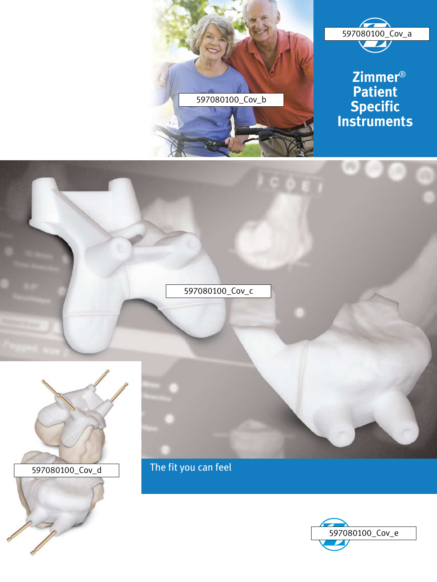



 **Zimmer**® **Patient Specific Instruments**





The fit you can feel

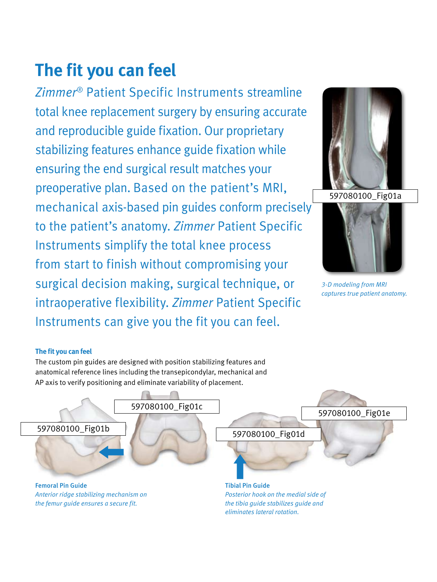# **The fit you can feel**

*Zimmer*® Patient Specific Instruments streamline total knee replacement surgery by ensuring accurate and reproducible guide fixation. Our proprietary stabilizing features enhance guide fixation while ensuring the end surgical result matches your preoperative plan. Based on the patient's MRI, mechanical axis-based pin guides conform precisely to the patient's anatomy. *Zimmer* Patient Specific Instruments simplify the total knee process from start to finish without compromising your surgical decision making, surgical technique, or intraoperative flexibility. *Zimmer* Patient Specific Instruments can give you the fit you can feel.





*3-D modeling from MRI captures true patient anatomy.*

#### **The fit you can feel**

The custom pin guides are designed with position stabilizing features and anatomical reference lines including the transepicondylar, mechanical and AP axis to verify positioning and eliminate variability of placement.

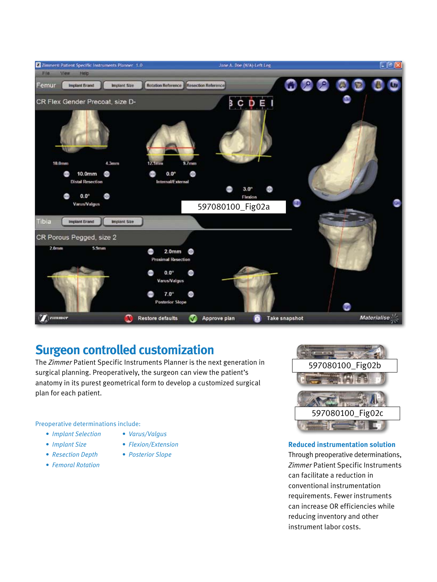

## **Surgeon controlled customization**

The *Zimmer* Patient Specific Instruments Planner is the next generation in surgical planning. Preoperatively, the surgeon can view the patient's anatomy in its purest geometrical form to develop a customized surgical plan for each patient.

Preoperative determinations include:

- *• Varus/Valgus*
- *• Implant Size*
- *• Flexion/Extension*
- *• Resection Depth*

 *• Implant Selection*

- *• Femoral Rotation*
- 
- *• Posterior Slope*



#### **Reduced instrumentation solution**

Through preoperative determinations, *Zimmer* Patient Specific Instruments can facilitate a reduction in conventional instrumentation requirements. Fewer instruments can increase OR efficiencies while reducing inventory and other instrument labor costs.